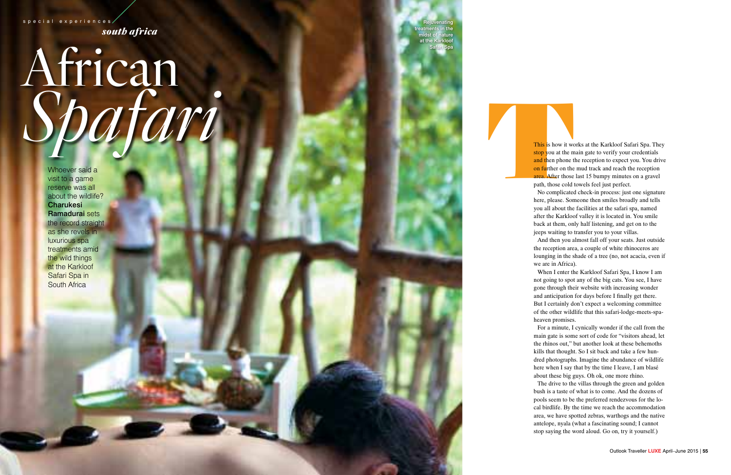*south africa* special experiences

## **<sup>54</sup>** | Outlook Traveller **LUXE** April–June 2015 Outlook Traveller **LUXE** April–June 2015 | **<sup>55</sup>** <sup>T</sup> African *Spafari*

Whoever said a visit to a game reserve was all about the wildlife? **Charukesi** Ramadurai sets the record straight as she revels in luxurious spa treatments amid the wild things **at the Karkloof** Safari Spa in **South Africa** 

This is how it works at the Karkloof Safari Spa. They stop you at the main gate to verify your credentials and then phone the reception to expect you. You drive on further on the mud track and reach the reception area. After those last 15 bumpy minutes on a gravel path, those cold towels feel just perfect.

No complicated check-in process: just one signature here, please. Someone then smiles broadly and tells you all about the facilities at the safari spa, named after the Karkloof valley it is located in. You smile back at them, only half listening, and get on to the jeeps waiting to transfer you to your villas.

And then you almost fall off your seats. Just outside the reception area, a couple of white rhinoceros are lounging in the shade of a tree (no, not acacia, even if we are in Africa).

When I enter the Karkloof Safari Spa, I know I am not going to spot any of the big cats. You see, I have gone through their website with increasing wonder and anticipation for days before I finally get there. But I certainly don't expect a welcoming committee of the other wildlife that this safari-lodge-meets-spaheaven promises.

For a minute, I cynically wonder if the call from the main gate is some sort of code for "visitors ahead, let the rhinos out," but another look at these behemoths kills that thought. So I sit back and take a few hun dred photographs. Imagine the abundance of wildlife here when I say that by the time I leave, I am blasé about these big guys. Oh ok, one more rhino.

The drive to the villas through the green and golden bush is a taste of what is to come. And the dozens of pools seem to be the preferred rendezvous for the lo cal birdlife. By the time we reach the accommodation area, we have spotted zebras, warthogs and the native antelope, nyala (what a fascinating sound; I cannot stop saying the word aloud. Go on, try it yourself.)

treatments in the ature at the Karkloof

Safari Spa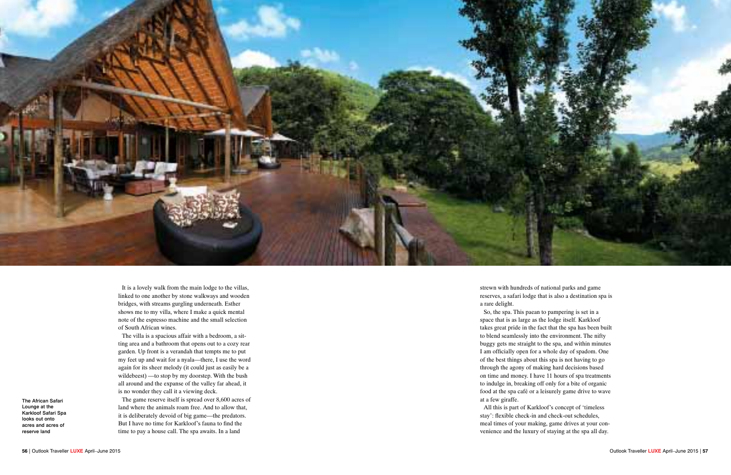

It is a lovely walk from the main lodge to the villas, linked to one another by stone walkways and wooden bridges, with streams gurgling underneath. Esther shows me to my villa, where I make a quick mental note of the espresso machine and the small selection of South African wines.

The villa is a spacious affair with a bedroom, a sit ting area and a bathroom that opens out to a cozy rear garden. Up front is a verandah that tempts me to put my feet up and wait for a nyala—there, I use the word again for its sheer melody (it could just as easily be a wildebeest) —to stop by my doorstep. With the bush all around and the expanse of the valley far ahead, it is no wonder they call it a viewing deck.

The game reserve itself is spread over 8,600 acres of land where the animals roam free. And to allow that, it is deliberately devoid of big game—the predators. But I have no time for Karkloof's fauna to find the time to pay a house call. The spa awaits. In a land

strewn with hundreds of national parks and game reserves, a safari lodge that is also a destination spa is a rare delight.

So, the spa. This paean to pampering is set in a space that is as large as the lodge itself. Karkloof takes great pride in the fact that the spa has been built to blend seamlessly into the environment. The nifty buggy gets me straight to the spa, and within minutes I am officially open for a whole day of spadom. One of the best things about this spa is not having to go through the agony of making hard decisions based on time and money. I have 11 hours of spa treatments to indulge in, breaking off only for a bite of organic food at the spa café or a leisurely game drive to wave at a few giraffe.

All this is part of Karkloof's concept of 'timeless stay': flexible check-in and check-out schedules, meal times of your making, game drives at your con venience and the luxury of staying at the spa all day.

The African Safari Lounge at the Karkloof Safari Spa looks out onto acres and acres of reserve land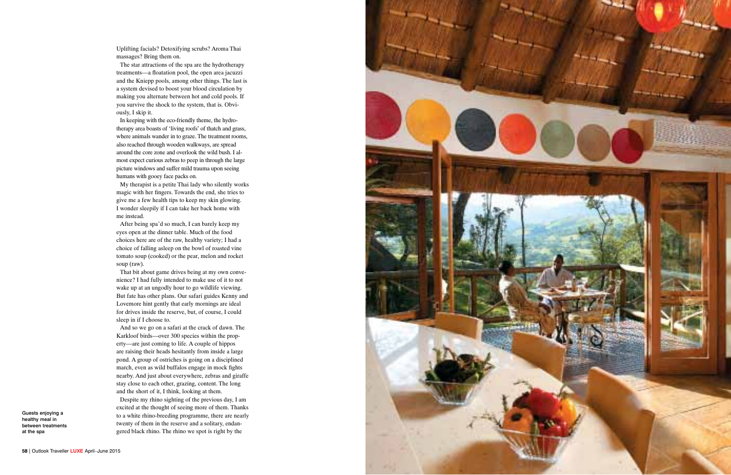Uplifting facials? Detoxifying scrubs? Aroma Thai massages? Bring them on.

The star attractions of the spa are the hydrotherapy treatments—a floatation pool, the open area jacuzzi and the Kniepp pools, among other things. The last is a system devised to boost your blood circulation by making you alternate between hot and cold pools. If you survive the shock to the system, that is. Obvi ously, I skip it.

In keeping with the eco-friendly theme, the hydro therapy area boasts of 'living roofs' of thatch and grass, where animals wander in to graze. The treatment rooms, also reached through wooden walkways, are spread around the core zone and overlook the wild bush. I al most expect curious zebras to peep in through the large picture windows and suffer mild trauma upon seeing humans with gooey face packs on.

My therapist is a petite Thai lady who silently works magic with her fingers. Towards the end, she tries to give me a few health tips to keep my skin glowing. I wonder sleepily if I can take her back home with me instead.

After being spa'd so much, I can barely keep my eyes open at the dinner table. Much of the food choices here are of the raw, healthy variety; I had a choice of falling asleep on the bowl of roasted vine tomato soup (cooked) or the pear, melon and rocket soup (raw).

That bit about game drives being at my own conve nience? I had fully intended to make use of it to not wake up at an ungodly hour to go wildlife viewing. But fate has other plans. Our safari guides Kenny and Lovemore hint gently that early mornings are ideal for drives inside the reserve, but, of course, I could sleep in if I choose to.

And so we go on a safari at the crack of dawn. The Karkloof birds—over 300 species within the prop erty—are just coming to life. A couple of hippos are raising their heads hesitantly from inside a large pond. A group of ostriches is going on a disciplined march, even as wild buffalos engage in mock fights nearby. And just about everywhere, zebras and giraffe stay close to each other, grazing, content. The long and the short of it, I think, looking at them.

Despite my rhino sighting of the previous day, I am excited at the thought of seeing more of them. Thanks to a white rhino-breeding programme, there are nearly twenty of them in the reserve and a solitary, endan gered black rhino. The rhino we spot is right by the



Guests enjoying a healthy meal in between treatments at the spa